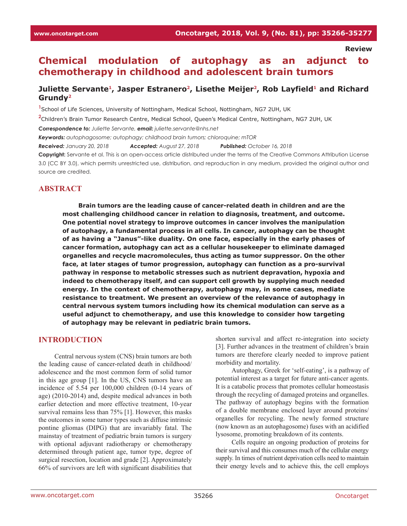**Review**

# **Chemical modulation of autophagy as an adjunct to chemotherapy in childhood and adolescent brain tumors**

### Juliette Servante<sup>1</sup>, Jasper Estranero<sup>2</sup>, Lisethe Meijer<sup>2</sup>, Rob Layfield<sup>1</sup> and Richard **Grundy2**

**1** School of Life Sciences, University of Nottingham, Medical School, Nottingham, NG7 2UH, UK **2** Children's Brain Tumor Research Centre, Medical School, Queen's Medical Centre, Nottingham, NG7 2UH, UK *Correspondence to: Juliette Servante, email: juliette.servante@nhs.net Keywords: autophagosome; autophagy; childhood brain tumors; chloroquine; mTOR Received: January 20, 2018 Accepted: August 27, 2018 Published: October 16, 2018*

**Copyright:** Servante et al. This is an open-access article distributed under the terms of the Creative Commons Attribution License 3.0 (CC BY 3.0), which permits unrestricted use, distribution, and reproduction in any medium, provided the original author and source are credited.

### **ABSTRACT**

**Brain tumors are the leading cause of cancer-related death in children and are the most challenging childhood cancer in relation to diagnosis, treatment, and outcome. One potential novel strategy to improve outcomes in cancer involves the manipulation of autophagy, a fundamental process in all cells. In cancer, autophagy can be thought of as having a "Janus"-like duality. On one face, especially in the early phases of cancer formation, autophagy can act as a cellular housekeeper to eliminate damaged organelles and recycle macromolecules, thus acting as tumor suppressor. On the other face, at later stages of tumor progression, autophagy can function as a pro-survival pathway in response to metabolic stresses such as nutrient depravation, hypoxia and indeed to chemotherapy itself, and can support cell growth by supplying much needed energy. In the context of chemotherapy, autophagy may, in some cases, mediate resistance to treatment. We present an overview of the relevance of autophagy in central nervous system tumors including how its chemical modulation can serve as a useful adjunct to chemotherapy, and use this knowledge to consider how targeting of autophagy may be relevant in pediatric brain tumors.**

#### **INTRODUCTION**

Central nervous system (CNS) brain tumors are both the leading cause of cancer-related death in childhood/ adolescence and the most common form of solid tumor in this age group [1]. In the US, CNS tumors have an incidence of 5.54 per 100,000 children (0-14 years of age) (2010-2014) and, despite medical advances in both earlier detection and more effective treatment, 10-year survival remains less than 75% [1]. However, this masks the outcomes in some tumor types such as diffuse intrinsic pontine gliomas (DIPG) that are invariably fatal. The mainstay of treatment of pediatric brain tumors is surgery with optional adjuvant radiotherapy or chemotherapy determined through patient age, tumor type, degree of surgical resection, location and grade [2]. Approximately 66% of survivors are left with significant disabilities that

shorten survival and affect re-integration into society [3]. Further advances in the treatment of children's brain tumors are therefore clearly needed to improve patient morbidity and mortality.

Autophagy, Greek for 'self-eating', is a pathway of potential interest as a target for future anti-cancer agents. It is a catabolic process that promotes cellular homeostasis through the recycling of damaged proteins and organelles. The pathway of autophagy begins with the formation of a double membrane enclosed layer around proteins/ organelles for recycling. The newly formed structure (now known as an autophagosome) fuses with an acidified lysosome, promoting breakdown of its contents.

Cells require an ongoing production of proteins for their survival and this consumes much of the cellular energy supply. In times of nutrient deprivation cells need to maintain their energy levels and to achieve this, the cell employs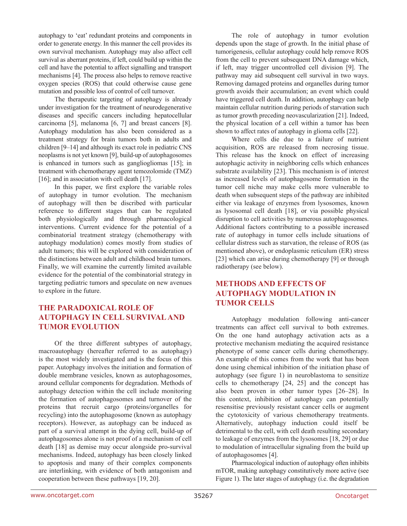autophagy to 'eat' redundant proteins and components in order to generate energy. In this manner the cell provides its own survival mechanism. Autophagy may also affect cell survival as aberrant proteins, if left, could build up within the cell and have the potential to affect signalling and transport mechanisms [4]. The process also helps to remove reactive oxygen species (ROS) that could otherwise cause gene mutation and possible loss of control of cell turnover.

The therapeutic targeting of autophagy is already under investigation for the treatment of neurodegenerative diseases and specific cancers including hepatocellular carcinoma [5], melanoma [6, 7] and breast cancers [8]. Autophagy modulation has also been considered as a treatment strategy for brain tumors both in adults and children [9–14] and although its exact role in pediatric CNS neoplasms is not yet known [9], build-up of autophagosomes is enhanced in tumors such as gangliogliomas [15]; in treatment with chemotherapy agent temozolomide (TMZ) [16]; and in association with cell death [17].

In this paper, we first explore the variable roles of autophagy in tumor evolution. The mechanism of autophagy will then be discribed with particular reference to different stages that can be regulated both physiologically and through pharmacological interventions. Current evidence for the potential of a combinatorial treatment strategy (chemotherapy with autophagy modulation) comes mostly from studies of adult tumors; this will be explored with consideration of the distinctions between adult and childhood brain tumors. Finally, we will examine the currently limited available evidence for the potential of the combinatorial strategy in targeting pediatric tumors and speculate on new avenues to explore in the future.

# **THE PARADOXICAL ROLE OF AUTOPHAGY IN CELL SURVIVAL AND TUMOR EVOLUTION**

Of the three different subtypes of autophagy, macroautophagy (hereafter referred to as autophagy) is the most widely investigated and is the focus of this paper. Autophagy involves the initiation and formation of double membrane vesicles, known as autophagosomes, around cellular components for degradation. Methods of autophagy detection within the cell include monitoring the formation of autophagosomes and turnover of the proteins that recruit cargo (proteins/organelles for recycling) into the autophagosome (known as autophagy receptors). However, as autophagy can be induced as part of a survival attempt in the dying cell, build-up of autophagosomes alone is not proof of a mechanism of cell death [18] as demise may occur alongside pro-survival mechanisms. Indeed, autophagy has been closely linked to apoptosis and many of their complex components are interlinking, with evidence of both antagonism and cooperation between these pathways [19, 20].

The role of autophagy in tumor evolution depends upon the stage of growth. In the initial phase of tumorigenesis, cellular autophagy could help remove ROS from the cell to prevent subsequent DNA damage which, if left, may trigger uncontrolled cell division [9]. The pathway may aid subsequent cell survival in two ways. Removing damaged proteins and organelles during tumor growth avoids their accumulation; an event which could have triggered cell death. In addition, autophagy can help maintain cellular nutrition during periods of starvation such as tumor growth preceding neovascularization [21]. Indeed, the physical location of a cell within a tumor has been shown to affect rates of autophagy in glioma cells [22].

Where cells die due to a failure of nutrient acquisition, ROS are released from necrosing tissue. This release has the knock on effect of increasing autophagic activity in neighboring cells which enhances substrate availability [23]. This mechanism is of interest as increased levels of autophagosome formation in the tumor cell niche may make cells more vulnerable to death when subsequent steps of the pathway are inhibited either via leakage of enzymes from lysosomes, known as lysosomal cell death [18], or via possible physical disruption to cell activities by numerous autophagosomes. Additional factors contributing to a possible increased rate of autophagy in tumor cells include situations of cellular distress such as starvation, the release of ROS (as mentioned above), or endoplasmic reticulum (ER) stress [23] which can arise during chemotherapy [9] or through radiotherapy (see below).

# **METHODS AND EFFECTS OF AUTOPHAGY MODULATION IN TUMOR CELLS**

Autophagy modulation following anti-cancer treatments can affect cell survival to both extremes. On the one hand autophagy activation acts as a protective mechanism mediating the acquired resistance phenotype of some cancer cells during chemotherapy. An example of this comes from the work that has been done using chemical inhibition of the initiation phase of autophagy (see figure 1) in neuroblastoma to sensitize cells to chemotherapy [24, 25] and the concept has also been proven in other tumor types [26–28]. In this context, inhibition of autophagy can potentially resensitise previously resistant cancer cells or augment the cytotoxicity of various chemotherapy treatments. Alternatively, autophagy induction could itself be detrimental to the cell, with cell death resulting secondary to leakage of enzymes from the lysosomes [18, 29] or due to modulation of intracellular signaling from the build up of autophagosomes [4].

Pharmacological induction of autophagy often inhibits mTOR, making autophagy constitutively more active (see Figure 1). The later stages of autophagy (i.e. the degradation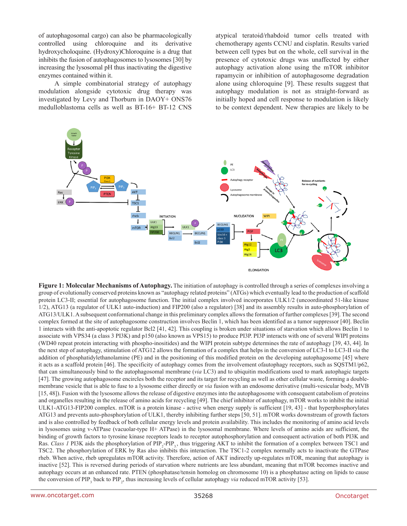of autophagosomal cargo) can also be pharmacologically controlled using chloroquine and its derivative hydroxycholoquine. (Hydroxy)Chloroquine is a drug that inhibits the fusion of autophagosomes to lysosomes [30] by increasing the lysosomal pH thus inactivating the digestive enzymes contained within it.

A simple combinatorial strategy of autophagy modulation alongside cytotoxic drug therapy was investigated by Levy and Thorburn in DAOY+ ONS76 medulloblastoma cells as well as BT-16+ BT-12 CNS atypical teratoid/rhabdoid tumor cells treated with chemotherapy agents CCNU and cisplatin. Results varied between cell types but on the whole, cell survival in the presence of cytotoxic drugs was unaffected by either autophagy activation alone using the mTOR inhibitor rapamycin or inhibition of autophagosome degradation alone using chloroquine [9]. These results suggest that autophagy modulation is not as straight-forward as initially hoped and cell response to modulation is likely to be context dependent. New therapies are likely to be



**Figure 1: Molecular Mechanisms of Autophagy.** The initiation of autophagy is controlled through a series of complexes involving a group of evolutionally conserved proteins known as "autophagy related proteins" (ATGs) which eventually lead to the production of scaffold protein LC3-II; essential for autophagosome function. The initial complex involved incorporates ULK1/2 (uncoordinated 51-like kinase 1/2), ATG13 (a regulator of ULK1 auto-induction) and FIP200 (also a regulator) [38] and its assembly results in auto-phosphorylation of ATG13/ULK1. A subsequent conformational change in this preliminary complex allows the formation of further complexes [39]. The second complex formed at the site of autophagosome construction involves Beclin 1, which has been identified as a tumor suppressor [40]. Beclin 1 interacts with the anti-apoptotic regulator Bcl2 [41, 42]. This coupling is broken under situations of starvation which allows Beclin 1 to associate with VPS34 (a class 3 PI3K) and p150 (also known as VPS15) to produce PI3P. PI3P interacts with one of several WIPI proteins (WD40 repeat protein interacting with phospho-inositides) and the WIPI protein subtype determines the rate of autophagy [39, 43, 44]. In the next step of autophagy, stimulation of ATG12 allows the formation of a complex that helps in the conversion of LC3-I to LC3-II *via* the addition of phosphatidylethanolamine (PE) and in the positioning of this modified protein on the developing autophagosome [45] where it acts as a scaffold protein [46]. The specificity of autophagy comes from the involvement ofautophagy receptors, such as SQSTM1/p62, that can simultaneously bind to the autophagosomal membrane (*via* LC3) and to ubiquitin modifications used to mark autophagic targets [47]. The growing autophagosome encircles both the receptor and its target for recycling as well as other cellular waste, forming a doublemembrane vesicle that is able to fuse to a lysosome either directly or *via* fusion with an endosome derivative (multi-vesicular body, MVB [15, 48]). Fusion with the lysosome allows the release of digestive enzymes into the autophagosome with consequent catabolism of proteins and organelles resulting in the release of amino acids for recycling [49]. The chief inhibitor of autophagy, mTOR works to inhibit the initial ULK1-ATG13-FIP200 complex. mTOR is a protein kinase - active when energy supply is sufficient [19, 43] - that hyperphosphorylates ATG13 and prevents auto-phosphorylation of ULK1, thereby inhibiting further steps [50, 51]. mTOR works downstream of growth factors and is also controlled by feedback of both cellular energy levels and protein availability. This includes the monitoring of amino acid levels in lysosomes using v-ATPase (vacuolar-type H+ ATPase) in the lysosomal membrane. Where levels of amino acids are sufficient, the binding of growth factors to tyrosine kinase receptors leads to receptor autophosphorylation and consequent activation of both PI3K and Ras. *Class 1* PI3K aids the phosphorylation of PIP<sub>2</sub>-PIP<sub>3</sub>, thus triggering AKT to inhibit the formation of a complex between TSC1 and TSC2. The phosphorylation of ERK by Ras also inhibits this interaction. The TSC1-2 complex normally acts to inactivate the GTPase rheb. When active, rheb upregulates mTOR activity. Therefore, action of AKT indirectly up-regulates mTOR, meaning that autophagy is inactive [52]. This is reversed during periods of starvation where nutrients are less abundant, meaning that mTOR becomes inactive and autophagy occurs at an enhanced rate. PTEN (phosphatase/tensin homolog on chromosome 10) is a phosphatase acting on lipids to cause the conversion of  $PIP_3$  back to  $PIP_2$ , thus increasing levels of cellular autophagy *via* reduced mTOR activity [53].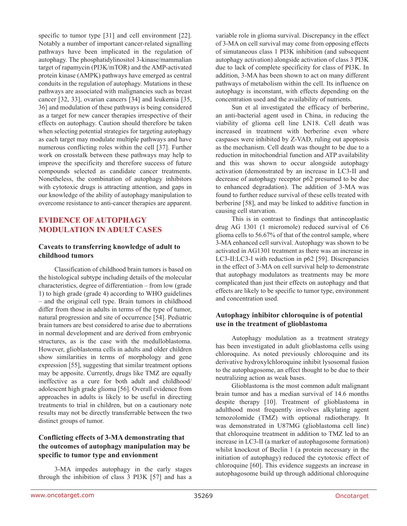specific to tumor type [31] and cell environment [22]. Notably a number of important cancer-related signalling pathways have been implicated in the regulation of autophagy. The phosphatidylinositol 3-kinase/mammalian target of rapamycin (PI3K/mTOR) and the AMP-activated protein kinase (AMPK) pathways have emerged as central conduits in the regulation of autophagy. Mutations in these pathways are associated with malignancies such as breast cancer [32, 33], ovarian cancers [34] and leukemia [35, 36] and modulation of these pathways is being considered as a target for new cancer therapies irrespective of their effects on autophagy. Caution should therefore be taken when selecting potential strategies for targeting autophagy as each target may modulate multiple pathways and have numerous conflicting roles within the cell [37]. Further work on crosstalk between these pathways may help to improve the specificity and therefore success of future compounds selected as candidate cancer treatments. Nonetheless, the combination of autophagy inhibitors with cytotoxic drugs is attracting attention, and gaps in our knowledge of the ability of autophagy manipulation to overcome resistance to anti-cancer therapies are apparent.

### **EVIDENCE OF AUTOPHAGY MODULATION IN ADULT CASES**

#### **Caveats to transferring knowledge of adult to childhood tumors**

Classification of childhood brain tumors is based on the histological subtype including details of the molecular characteristics, degree of differentiation – from low (grade 1) to high grade (grade 4) according to WHO guidelines – and the original cell type. Brain tumors in childhood differ from those in adults in terms of the type of tumor, natural progression and site of occurrence [54]. Pediatric brain tumors are best considered to arise due to aberrations in normal development and are derived from embryonic structures, as is the case with the medulloblastoma. However, glioblastoma cells in adults and older children show similarities in terms of morphology and gene expression [55], suggesting that similar treatment options may be apposite. Currently, drugs like TMZ are equally ineffective as a cure for both adult and childhood/ adolescent high grade glioma [56]. Overall evidence from approaches in adults is likely to be useful in directing treatments to trial in children, but on a cautionary note results may not be directly transferrable between the two distinct groups of tumor.

### **Conflicting effects of 3-MA demonstrating that the outcomes of autophagy manipulation may be specific to tumor type and envionment**

3-MA impedes autophagy in the early stages through the inhibition of class 3 PI3K [57] and has a variable role in glioma survival. Discrepancy in the effect of 3-MA on cell survival may come from opposing effects of simutaneous class 1 PI3K inhibition (and subsequent autophagy activation) alongside activation of class 3 PI3K due to lack of complete specificity for class of PI3K. In addition, 3-MA has been shown to act on many different pathways of metabolism within the cell. Its influence on autophagy is inconstant, with effects depending on the concentration used and the availability of nutrients.

Sun et al investigated the efficacy of berberine, an anti-bacterial agent used in China, in reducing the viability of glioma cell line LN18. Cell death was increased in treatment with berberine even where caspases were inhibited by Z-VAD, ruling out apoptosis as the mechanism. Cell death was thought to be due to a reduction in mitochondrial function and ATP availability and this was shown to occur alongside autophagy activation (demonstrated by an increase in LC3-II and decrease of autophagy receptor p62 presumed to be due to enhanced degradation). The addition of 3-MA was found to further reduce survival of these cells treated with berberine [58], and may be linked to additive function in causing cell starvation.

This is in contrast to findings that antineoplastic drug AG 1301 (1 micromole) reduced survival of C6 glioma cells to 56.67% of that of the control sample, where 3-MA enhanced cell survival. Autophagy was shown to be activated in AG1301 treatment as there was an increase in LC3-II:LC3-I with reduction in p62 [59]. Discrepancies in the effect of 3-MA on cell survival help to demonstrate that autophagy modulators as treatments may be more complicated than just their effects on autophagy and that effects are likely to be specific to tumor type, environment and concentration used.

#### **Autophagy inhibitor chloroquine is of potential use in the treatment of glioblastoma**

Autophagy modulation as a treatment strategy has been investigated in adult glioblastoma cells using chloroquine. As noted previously chloroquine and its derivative hydroxylchloroquine inhibit lysosomal fusion to the autophagosome, an effect thought to be due to their neutralizing action as weak bases.

Glioblastoma is the most common adult malignant brain tumor and has a median survival of 14.6 months despite therapy [10]. Treatment of glioblastoma in adulthood most frequently involves alkylating agent temozolomide (TMZ) with optional radiotherapy. It was demonstrated in U87MG (glioblastoma cell line) that chloroquine treatment in addition to TMZ led to an increase in LC3-II (a marker of autophagosome formation) whilst knockout of Beclin 1 (a protein necessary in the initiation of autophagy) reduced the cytotoxic effect of chloroquine [60]. This evidence suggests an increase in autophagosome build up through additional chloroquine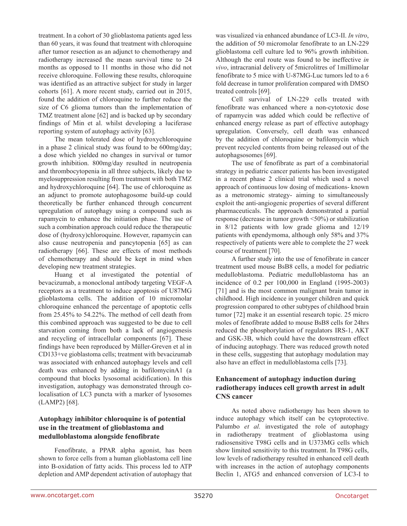treatment. In a cohort of 30 glioblastoma patients aged less than 60 years, it was found that treatment with chloroquine after tumor resection as an adjunct to chemotherapy and radiotherapy increased the mean survival time to 24 months as opposed to 11 months in those who did not receive chloroquine. Following these results, chloroquine was identified as an attractive subject for study in larger cohorts [61]. A more recent study, carried out in 2015, found the addition of chloroquine to further reduce the size of C6 glioma tumors than the implementation of TMZ treatment alone [62] and is backed up by secondary findings of Min et al. whilst developing a luciferase reporting system of autophagy activity [63].

The mean tolerated dose of hydroxychloroquine in a phase 2 clinical study was found to be 600mg/day; a dose which yielded no changes in survival or tumor growth inhibition. 800mg/day resulted in neutropenia and thrombocytopenia in all three subjects, likely due to myelosuppression resulting from treatment with both TMZ and hydroxychloroquine [64]. The use of chloroquine as an adjunct to promote autophagosome build-up could theoretically be further enhanced through concurrent upregulation of autophagy using a compound such as rapamycin to enhance the initiation phase. The use of such a combination approach could reduce the therapeutic dose of (hydroxy)chloroquine. However, rapamycin can also cause neutropenia and pancytopenia [65] as can radiotherapy [66]. These are effects of most methods of chemotherapy and should be kept in mind when developing new treatment strategies.

Huang et al investigated the potential of bevacizumab, a monoclonal antibody targeting VEGF-A receptors as a treatment to induce apoptosis of U87MG glioblastoma cells. The addition of 10 micromolar chloroquine enhanced the percentage of apoptotic cells from 25.45% to 54.22%. The method of cell death from this combined approach was suggested to be due to cell starvation coming from both a lack of angiogenesis and recycling of intracellular components [67]. These findings have been reproduced by Müller-Greven et al in CD133+ve gioblastoma cells; treatment with bevacizumab was associated with enhanced autophagy levels and cell death was enhanced by adding in bafilomycinA1 (a compound that blocks lysosomal acidification). In this investigation, autophagy was demonstrated through colocalisation of LC3 puncta with a marker of lysosomes (LAMP2) [68].

### **Autophagy inhibitor chloroquine is of potential use in the treatment of glioblastoma and medulloblastoma alongside fenofibrate**

Fenofibrate, a PPAR alpha agonist, has been shown to force cells from a human glioblastoma cell line into B-oxidation of fatty acids. This process led to ATP depletion and AMP dependent activation of autophagy that was visualized via enhanced abundance of LC3-II. *In vitro*, the addition of 50 micromolar fenofibrate to an LN-229 glioblastoma cell culture led to 96% growth inhibition. Although the oral route was found to be ineffective *in vivo*, intracranial delivery of 5microlitres of 1millimolar fenofibrate to 5 mice with U-87MG-Luc tumors led to a 6 fold decrease in tumor proliferation compared with DMSO treated controls [69].

Cell survival of LN-229 cells treated with fenofibrate was enhanced where a non-cytotoxic dose of rapamycin was added which could be reflective of enhanced energy release as part of effective autophagy upregulation. Conversely, cell death was enhanced by the addition of chloroquine or bafilomycin which prevent recycled contents from being released out of the autophagsosomes [69].

The use of fenofibrate as part of a combinatorial strategy in pediatric cancer patients has been investigated in a recent phase 2 clinical trial which used a novel approach of continuous low dosing of medications- known as a metronomic strategy- aiming to simultaneously exploit the anti-angiogenic properties of several different pharmaceuticals. The approach demonstrated a partial response (decrease in tumor growth <50%) or stabilization in 8/12 patients with low grade glioma and 12/19 patients with ependymoma, although only 58% and 37% respectively of patients were able to complete the 27 week course of treatment [70].

A further study into the use of fenofibrate in cancer treatment used mouse BsB8 cells, a model for pediatric medulloblastoma. Pediatric medulloblastoma has an incidence of 0.2 per 100,000 in England (1995-2003) [71] and is the most common malignant brain tumor in childhood. High incidence in younger children and quick progression compared to other subtypes of childhood brain tumor [72] make it an essential research topic. 25 micro moles of fenofibrate added to mouse BsB8 cells for 24hrs reduced the phosphorylation of regulators IRS-1, AKT and GSK-3B, which could have the downstream effect of inducing autophagy. There was reduced growth noted in these cells, suggesting that autophagy modulation may also have an effect in medulloblastoma cells [73].

### **Enhancement of autophagy induction during radiotherapy induces cell growth arrest in adult CNS cancer**

As noted above radiotherapy has been shown to induce autophagy which itself can be cytoprotective. Palumbo *et al.* investigated the role of autophagy in radiotherapy treatment of glioblastoma using radiosensitive T98G cells and in U373MG cells which show limited sensitivity to this treatment. In T98G cells, low levels of radiotherapy resulted in enhanced cell death with increases in the action of autophagy components Beclin 1, ATG5 and enhanced conversion of LC3-I to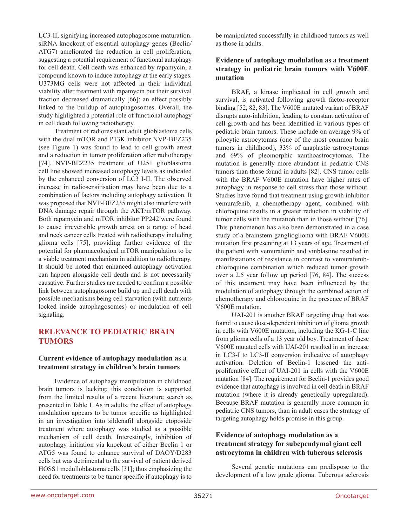LC3-II, signifying increased autophagosome maturation. siRNA knockout of essential autophagy genes (Beclin/ ATG7) ameliorated the reduction in cell proliferation, suggesting a potential requirement of functional autophagy for cell death. Cell death was enhanced by rapamycin, a compound known to induce autophagy at the early stages. U373MG cells were not affected in their individual viability after treatment with rapamycin but their survival fraction decreased dramatically [66]; an effect possibly linked to the buildup of autophagosomes. Overall, the study highlighted a potential role of functional autophagy in cell death following radiotherapy.

Treatment of radioresistant adult glioblastoma cells with the dual mTOR and P13K inhibitor NVP-BEZ235 (see Figure 1) was found to lead to cell growth arrest and a reduction in tumor proliferation after radiotherapy [74]. NVP-BEZ235 treatment of U251 glioblastoma cell line showed increased autophagy levels as indicated by the enhanced conversion of LC3 I-II. The observed increase in radiosensitisation may have been due to a combination of factors including autophagy activation. It was proposed that NVP-BEZ235 might also interfere with DNA damage repair through the AKT/mTOR pathway. Both rapamycin and mTOR inhibitor PP242 were found to cause irreversible growth arrest on a range of head and neck cancer cells treated with radiotherapy including glioma cells [75], providing further evidence of the potential for pharmacological mTOR manipulation to be a viable treatment mechanism in addition to radiotherapy. It should be noted that enhanced autophagy activation can happen alongside cell death and is not necessarily causative. Further studies are needed to confirm a possible link between autophagosome build up and cell death with possible mechanisms being cell starvation (with nutrients locked inside autophagosomes) or modulation of cell signaling.

# **RELEVANCE TO PEDIATRIC BRAIN TUMORS**

### **Current evidence of autophagy modulation as a treatment strategy in children's brain tumors**

Evidence of autophagy manipulation in childhood brain tumors is lacking; this conclusion is supported from the limited results of a recent literature search as presented in Table 1. As in adults, the effect of autophagy modulation appears to be tumor specific as highlighted in an investigation into sildenafil alongside etoposide treatment where autophagy was studied as a possible mechanism of cell death. Interestingly, inhibition of autophagy initiation via knockout of either Beclin 1 or ATG5 was found to enhance survival of DAOY/D283 cells but was detrimental to the survival of patient derived HOSS1 medulloblastoma cells [31]; thus emphasizing the need for treatments to be tumor specific if autophagy is to

be manipulated successfully in childhood tumors as well as those in adults.

#### **Evidence of autophagy modulation as a treatment strategy in pediatric brain tumors with V600E mutation**

BRAF, a kinase implicated in cell growth and survival, is activated following growth factor-receptor binding [52, 82, 83]. The V600E mutated variant of BRAF disrupts auto-inhibition, leading to constant activation of cell growth and has been identified in various types of pediatric brain tumors. These include on average 9% of pilocytic astrocytomas (one of the most common brain tumors in childhood), 33% of anaplastic astrocytomas and 69% of pleomorphic xanthoastrocytomas. The mutation is generally more abundant in pediatric CNS tumors than those found in adults [82]. CNS tumor cells with the BRAF V600E mutation have higher rates of autophagy in response to cell stress than those without. Studies have found that treatment using growth inhibitor vemurafenib, a chemotherapy agent, combined with chloroquine results in a greater reduction in viability of tumor cells with the mutation than in those without [76]. This phenomenon has also been demonstrated in a case study of a brainstem ganglioglioma with BRAF V600E mutation first presenting at 13 years of age. Treatment of the patient with vemurafenib and vinblastine resulted in manifestations of resistance in contrast to vemurafenibchloroquine combination which reduced tumor growth over a 2.5 year follow up period [76, 84]. The success of this treatment may have been influenced by the modulation of autophagy through the combined action of chemotherapy and chloroquine in the presence of BRAF V600E mutation.

UAI-201 is another BRAF targeting drug that was found to cause dose-dependent inhibition of glioma growth in cells with V600E mutation, including the KG-1-C line from glioma cells of a 13 year old boy. Treatment of these V600E mutated cells with UAI-201 resulted in an increase in LC3-I to LC3-II conversion indicative of autophagy activation. Deletion of Beclin-1 lessened the antiproliferative effect of UAI-201 in cells with the V600E mutation [84]. The requirement for Beclin-1 provides good evidence that autophagy is involved in cell death in BRAF mutation (where it is already genetically upregulated). Because BRAF mutation is generally more common in pediatric CNS tumors, than in adult cases the strategy of targeting autophagy holds promise in this group.

### **Evidence of autophagy modulation as a treatment strategy for subependymal giant cell astrocytoma in children with tuberous sclerosis**

Several genetic mutations can predispose to the development of a low grade glioma. Tuberous sclerosis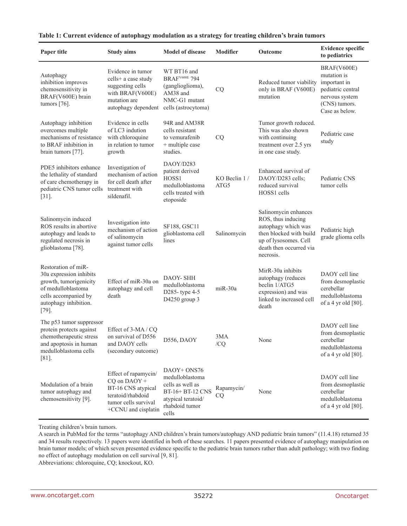| Paper title                                                                                                                                                 | <b>Study aims</b>                                                                                                                           | <b>Model of disease</b>                                                                                                 | <b>Modifier</b>         | Outcome                                                                                                                                                       | <b>Evidence specific</b><br>to pediatrics                                                                            |
|-------------------------------------------------------------------------------------------------------------------------------------------------------------|---------------------------------------------------------------------------------------------------------------------------------------------|-------------------------------------------------------------------------------------------------------------------------|-------------------------|---------------------------------------------------------------------------------------------------------------------------------------------------------------|----------------------------------------------------------------------------------------------------------------------|
| Autophagy<br>inhibition improves<br>chemosensitivity in<br>BRAF(V600E) brain<br>tumors $[76]$ .                                                             | Evidence in tumor<br>cells+ a case study<br>suggesting cells<br>with BRAF(V600E)<br>mutation are<br>autophagy dependent cells (astrocytoma) | WT BT16 and<br><b>BRAF</b> <sup>V600E</sup> 794<br>(ganglioglioma),<br>AM38 and<br>NMC-G1 mutant                        | CQ                      | Reduced tumor viability<br>only in BRAF (V600E)<br>mutation                                                                                                   | BRAF(V600E)<br>mutation is<br>important in<br>pediatric central<br>nervous system<br>(CNS) tumors.<br>Case as below. |
| Autophagy inhibition<br>overcomes multiple<br>mechanisms of resistance<br>to BRAF inhibition in<br>brain tumors [77].                                       | Evidence in cells<br>of LC3 indution<br>with chloroquine<br>in relation to tumor<br>growth                                                  | 94R and AM38R<br>cells resistant<br>to vemurafenib<br>+ multiple case<br>studies.                                       | CQ                      | Tumor growth reduced.<br>This was also shown<br>with continuing<br>treatment over 2.5 yrs<br>in one case study.                                               | Pediatric case<br>study                                                                                              |
| PDE5 inhibitors enhance<br>the lethality of standard<br>of care chemotherapy in<br>pediatric CNS tumor cells<br>$[31]$ .                                    | Investigation of<br>mechanism of action<br>for cell death after<br>treatment with<br>sildenafil.                                            | DAOY/D283<br>patient derived<br>HOSS1<br>medulloblastoma<br>cells treated with<br>etoposide                             | KO Beclin 1/<br>ATG5    | Enhanced survival of<br>DAOY/D283 cells;<br>reduced survival<br>HOSS1 cells                                                                                   | Pediatric CNS<br>tumor cells                                                                                         |
| Salinomycin induced<br>ROS results in abortive<br>autophagy and leads to<br>regulated necrosis in<br>glioblastoma [78].                                     | Investigation into<br>mechanism of action<br>of salinomycin<br>against tumor cells                                                          | SF188, GSC11<br>glioblastoma cell<br>lines                                                                              | Salinomycin             | Salinomycin enhances<br>ROS, thus inducing<br>autophagy which was<br>then blocked with build<br>up of lysosomes. Cell<br>death then occurred via<br>necrosis. | Pediatric high<br>grade glioma cells                                                                                 |
| Restoration of miR-<br>30a expression inhibits<br>growth, tumorigenicity<br>of medulloblastoma<br>cells accompanied by<br>autophagy inhibition.<br>$[79]$ . | Effect of miR-30a on<br>autophagy and cell<br>death                                                                                         | DAOY- SHH<br>medulloblastoma<br>D285-type 4-5<br>D4250 group 3                                                          | $miR-30a$               | MirR-30a inhibits<br>autophagy (reduces<br>beclin 1/ATG5<br>expression) and was<br>linked to increased cell<br>death                                          | DAOY cell line<br>from desmoplastic<br>cerebellar<br>medulloblastoma<br>of a 4 yr old $[80]$ .                       |
| The p53 tumor suppressor<br>protein protects against<br>chemotherapeutic stress<br>and apoptosis in human<br>medulloblastoma cells<br>$[81]$                | Effect of 3-MA/CQ<br>on survival of D556<br>and DAOY cells<br>(secondary outcome)                                                           | D556, DAOY                                                                                                              | 3MA<br>/CQ              | None                                                                                                                                                          | DAOY cell line<br>from desmoplastic<br>cerebellar<br>medulloblastoma<br>of a 4 yr old [80].                          |
| Modulation of a brain<br>tumor autophagy and<br>chemosensitivity [9].                                                                                       | Effect of rapamycin/<br>CQ on DAOY +<br>BT-16 CNS atypical<br>teratoid/rhabdoid<br>tumor cells survival<br>+CCNU and cisplatin              | DAOY+ ONS76<br>medulloblastoma<br>cells as well as<br>BT-16+ BT-12 CNS<br>atypical teratoid/<br>rhabdoid tumor<br>cells | Rapamycin/<br><b>CQ</b> | None                                                                                                                                                          | DAOY cell line<br>from desmoplastic<br>cerebellar<br>medulloblastoma<br>of a 4 yr old [80].                          |

#### **Table 1: Current evidence of autophagy modulation as a strategy for treating children's brain tumors**

Treating children's brain tumors.

A search in PubMed for the terms "autophagy AND children's brain tumors/autophagy AND pediatric brain tumors" (11.4.18) returned 35 and 34 results respectively. 13 papers were identified in both of these searches. 11 papers presented evidence of autophagy manipulation on brain tumor models; of which seven presented evidence specific to the pediatric brain tumors rather than adult pathology; with two finding no effect of autophagy modulation on cell survival [9, 81].

Abbreviations: chloroquine, CQ; knockout, KO.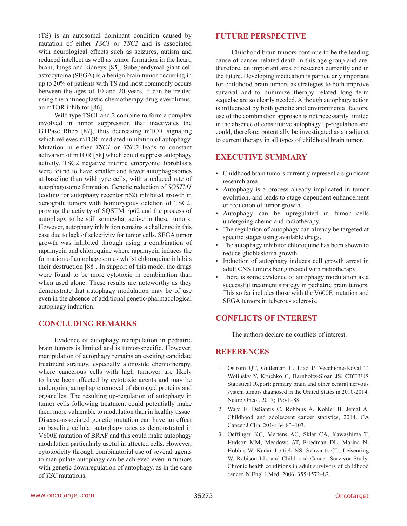(TS) is an autosomal dominant condition caused by mutation of either *TSC1* or *TSC2* and is associated with neurological effects such as seizures, autism and reduced intellect as well as tumor formation in the heart, brain, lungs and kidneys [85]. Subependymal giant cell astrocytoma (SEGA) is a benign brain tumor occurring in up to 20% of patients with TS and most commonly occurs between the ages of 10 and 20 years. It can be treated using the antineoplastic chemotherapy drug everolimus; an mTOR inhibitor [86].

Wild type TSC1 and 2 combine to form a complex involved in tumor suppression that inactivates the GTPase Rheb [87], thus decreasing mTOR signaling which relieves mTOR-mediated inhibition of autophagy. Mutation in either *TSC1* or *TSC2* leads to constant activation of mTOR [88] which could suppress autophagy activity. TSC2 negative murine embryonic fibroblasts were found to have smaller and fewer autophagosomes at baseline than wild type cells, with a reduced rate of autophagosome formation. Genetic reduction of *SQSTM1* (coding for autophagy receptor p62) inhibited growth in xenograft tumors with homozygous deletion of TSC2, proving the activity of SQSTM1/p62 and the process of autophagy to be still somewhat active in these tumors. However, autophagy inhibition remains a challenge in this case due to lack of selectivity for tumor cells. SEGA tumor growth was inhibited through using a combination of rapamycin and chloroquine where rapamycin induces the formation of autophagosomes whilst chloroquine inhibits their destruction [88]. In support of this model the drugs were found to be more cytotoxic in combination than when used alone. These results are noteworthy as they demonstrate that autophagy modulation may be of use even in the absence of additional genetic/pharmacological autophagy induction.

# **CONCLUDING REMARKS**

Evidence of autophagy manipulation in pediatric brain tumors is limited and is tumor-specific. However, manipulation of autophagy remains an exciting candidate treatment strategy, especially alongside chemotherapy, where cancerous cells with high turnover are likely to have been affected by cytotoxic agents and may be undergoing autophagic removal of damaged proteins and organelles. The resulting up-regulation of autophagy in tumor cells following treatment could potentially make them more vulnerable to modulation than in healthy tissue. Disease-associated genetic mutation can have an effect on baseline cellular autophagy rates as demonstrated in V600E mutation of BRAF and this could make autophagy modulation particularly useful in affected cells. However, cytotoxicity through combinatorial use of several agents to manipulate autophagy can be achieved even in tumors with genetic downregulation of autophagy, as in the case of *TSC* mutations.

### **FUTURE PERSPECTIVE**

Childhood brain tumors continue to be the leading cause of cancer-related death in this age group and are, therefore, an important area of research currently and in the future. Developing medication is particularly important for childhood brain tumors as strategies to both improve survival and to minimize therapy related long term sequelae are so clearly needed. Although autophagy action is influenced by both genetic and environmental factors, use of the combination approach is not necessarily limited in the absence of constitutive autophagy up-regulation and could, therefore, potentially be investigated as an adjunct to current therapy in all types of childhood brain tumor.

# **EXECUTIVE SUMMARY**

- Childhood brain tumors currently represent a significant research area.
- Autophagy is a process already implicated in tumor evolution, and leads to stage-dependent enhancement or reduction of tumor growth.
- • Autophagy can be upregulated in tumor cells undergoing chemo and radiotherapy.
- • The regulation of autophagy can already be targeted at specific stages using available drugs.
- The autophagy inhibitor chloroquine has been shown to reduce glioblastoma growth.
- Induction of autophagy induces cell growth arrest in adult CNS tumors being treated with radiotherapy.
- There is some evidence of autophagy modulation as a successful treatment strategy in pediatric brain tumors. This so far includes those with the V600E mutation and SEGA tumors in tuberous sclerosis.

# **CONFLICTS OF INTEREST**

The authors declare no conflicts of interest.

### **REFERENCES**

- 1. Ostrom QT, Gittleman H, Liao P, Vecchione-Koval T, Wolinsky Y, Kruchko C, Barnholtz-Sloan JS. CBTRUS Statistical Report: primary brain and other central nervous system tumors diagnosed in the United States in 2010-2014. Neuro Oncol. 2017; 19:v1–88.
- 2. Ward E, DeSantis C, Robbins A, Kohler B, Jemal A. Childhood and adolescent cancer statistics, 2014. CA Cancer J Clin. 2014; 64:83–103.
- 3. Oeffinger KC, Mertens AC, Sklar CA, Kawashima T, Hudson MM, Meadows AT, Friedman DL, Marina N, Hobbie W, Kadan-Lottick NS, Schwartz CL, Leisenring W, Robison LL, and Childhood Cancer Survivor Study. Chronic health conditions in adult survivors of childhood cancer. N Engl J Med. 2006; 355:1572–82.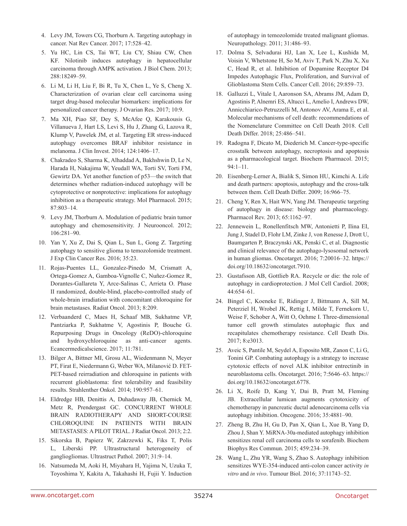- 4. Levy JM, Towers CG, Thorburn A. Targeting autophagy in cancer. Nat Rev Cancer. 2017; 17:528–42.
- 5. Yu HC, Lin CS, Tai WT, Liu CY, Shiau CW, Chen KF. Nilotinib induces autophagy in hepatocellular carcinoma through AMPK activation. J Biol Chem. 2013; 288:18249–59.
- 6. Li M, Li H, Liu F, Bi R, Tu X, Chen L, Ye S, Cheng X. Characterization of ovarian clear cell carcinoma using target drug-based molecular biomarkers: implications for personalized cancer therapy. J Ovarian Res. 2017; 10:9.
- 7. Ma XH, Piao SF, Dey S, McAfee Q, Karakousis G, Villanueva J, Hart LS, Levi S, Hu J, Zhang G, Lazova R, Klump V, Pawelek JM, et al. Targeting ER stress-induced autophagy overcomes BRAF inhibitor resistance in melanoma. J Clin Invest. 2014; 124:1406–17.
- 8. Chakradeo S, Sharma K, Alhaddad A, Bakhshwin D, Le N, Harada H, Nakajima W, Yeudall WA, Torti SV, Torti FM, Gewirtz DA. Yet another function of p53—the switch that determines whether radiation-induced autophagy will be cytoprotective or nonprotective: implications for autophagy inhibition as a therapeutic strategy. Mol Pharmacol. 2015; 87:803–14.
- 9. Levy JM, Thorburn A. Modulation of pediatric brain tumor autophagy and chemosensitivity. J Neurooncol. 2012; 106:281–90.
- 10. Yan Y, Xu Z, Dai S, Qian L, Sun L, Gong Z. Targeting autophagy to sensitive glioma to temozolomide treatment. J Exp Clin Cancer Res. 2016; 35:23.
- 11. Rojas-Puentes LL, Gonzalez-Pinedo M, Crismatt A, Ortega-Gomez A, Gamboa-Vignolle C, Nuñez-Gomez R, Dorantes-Gallareta Y, Arce-Salinas C, Arrieta O. Phase II randomized, double-blind, placebo-controlled study of whole-brain irradiation with concomitant chloroquine for brain metastases. Radiat Oncol. 2013; 8:209.
- 12. Verbaanderd C, Maes H, Schaaf MB, Sukhatme VP, Pantziarka P, Sukhatme V, Agostinis P, Bouche G. Repurposing Drugs in Oncology (ReDO)-chloroquine and hydroxychloroquine as anti-cancer agents. Ecancermedicalscience. 2017; 11:781.
- 13. Bilger A, Bittner MI, Grosu AL, Wiedenmann N, Meyer PT, Firat E, Niedermann G, Weber WA, Milanović D. FET-PET-based reirradiation and chloroquine in patients with recurrent glioblastoma: first tolerability and feasibility results. Strahlenther Onkol. 2014; 190:957–61.
- 14. Eldredge HB, Denittis A, Duhadaway JB, Chernick M, Metz R, Prendergast GC. CONCURRENT WHOLE BRAIN RADIOTHERAPY AND SHORT-COURSE CHLOROQUINE IN PATIENTS WITH BRAIN METASTASES: A PILOT TRIAL. J Radiat Oncol. 2013; 2:2.
- 15. Sikorska B, Papierz W, Zakrzewki K, Fiks T, Polis L, Liberski PP. Ultrastructural heterogeneity of gangliogliomas. Ultrastruct Pathol. 2007; 31:9–14.
- 16. Natsumeda M, Aoki H, Miyahara H, Yajima N, Uzuka T, Toyoshima Y, Kakita A, Takahashi H, Fujii Y. Induction

of autophagy in temozolomide treated malignant gliomas. Neuropathology. 2011; 31:486–93.

- 17. Dolma S, Selvadurai HJ, Lan X, Lee L, Kushida M, Voisin V, Whetstone H, So M, Aviv T, Park N, Zhu X, Xu C, Head R, et al. Inhibition of Dopamine Receptor D4 Impedes Autophagic Flux, Proliferation, and Survival of Glioblastoma Stem Cells. Cancer Cell. 2016; 29:859–73.
- 18. Galluzzi L, Vitale I, Aaronson SA, Abrams JM, Adam D, Agostinis P, Alnemri ES, Altucci L, Amelio I, Andrews DW, Annicchiarico-Petruzzelli M, Antonov AV, Arama E, et al. Molecular mechanisms of cell death: recommendations of the Nomenclature Committee on Cell Death 2018. Cell Death Differ. 2018; 25:486–541.
- 19. Radogna F, Dicato M, Diederich M. Cancer-type-specific crosstalk between autophagy, necroptosis and apoptosis as a pharmacological target. Biochem Pharmacol. 2015; 94:1–11.
- 20. Eisenberg-Lerner A, Bialik S, Simon HU, Kimchi A. Life and death partners: apoptosis, autophagy and the cross-talk between them. Cell Death Differ. 2009; 16:966–75.
- 21. Cheng Y, Ren X, Hait WN, Yang JM. Therapeutic targeting of autophagy in disease: biology and pharmacology. Pharmacol Rev. 2013; 65:1162–97.
- 22. Jennewein L, Ronellenfitsch MW, Antonietti P, Ilina EI, Jung J, Stadel D, Flohr LM, Zinke J, von Renesse J, Drott U, Baumgarten P, Braczynski AK, Penski C, et al. Diagnostic and clinical relevance of the autophago-lysosomal network in human gliomas. Oncotarget. 2016; 7:20016–32. [https://](https://doi.org/10.18632/oncotarget.7910) [doi.org/10.18632/oncotarget.7910.](https://doi.org/10.18632/oncotarget.7910)
- 23. Gustafsson AB, Gottlieb RA. Recycle or die: the role of autophagy in cardioprotection. J Mol Cell Cardiol. 2008; 44:654–61.
- 24. Bingel C, Koeneke E, Ridinger J, Bittmann A, Sill M, Peterziel H, Wrobel JK, Rettig I, Milde T, Fernekorn U, Weise F, Schober A, Witt O, Oehme I. Three-dimensional tumor cell growth stimulates autophagic flux and recapitulates chemotherapy resistance. Cell Death Dis. 2017; 8:e3013.
- 25. Aveic S, Pantile M, Seydel A, Esposito MR, Zanon C, Li G, Tonini GP. Combating autophagy is a strategy to increase cytotoxic effects of novel ALK inhibitor entrectinib in neuroblastoma cells. Oncotarget. 2016; 7:5646–63. [https://](https://doi.org/10.18632/oncotarget.6778) [doi.org/10.18632/oncotarget.6778.](https://doi.org/10.18632/oncotarget.6778)
- 26. Li X, Roife D, Kang Y, Dai B, Pratt M, Fleming JB. Extracellular lumican augments cytotoxicity of chemotherapy in pancreatic ductal adenocarcinoma cells via autophagy inhibition. Oncogene. 2016; 35:4881–90.
- 27. Zheng B, Zhu H, Gu D, Pan X, Qian L, Xue B, Yang D, Zhou J, Shan Y. MiRNA-30a-mediated autophagy inhibition sensitizes renal cell carcinoma cells to sorafenib. Biochem Biophys Res Commun. 2015; 459:234–39.
- 28. Wang L, Zhu YR, Wang S, Zhao S. Autophagy inhibition sensitizes WYE-354-induced anti-colon cancer activity *in vitro* and *in vivo*. Tumour Biol. 2016; 37:11743–52.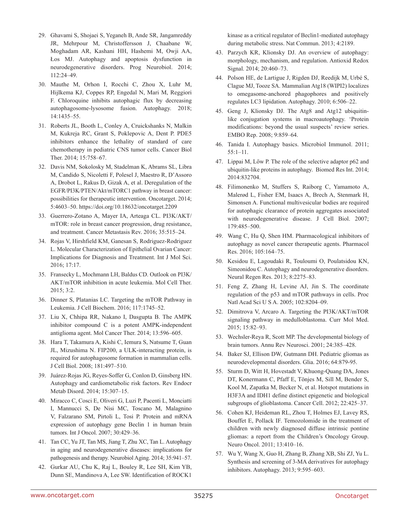- 29. Ghavami S, Shojaei S, Yeganeh B, Ande SR, Jangamreddy JR, Mehrpour M, Christoffersson J, Chaabane W, Moghadam AR, Kashani HH, Hashemi M, Owji AA, Łos MJ. Autophagy and apoptosis dysfunction in neurodegenerative disorders. Prog Neurobiol. 2014; 112:24–49.
- 30. Mauthe M, Orhon I, Rocchi C, Zhou X, Luhr M, Hijlkema KJ, Coppes RP, Engedal N, Mari M, Reggiori F. Chloroquine inhibits autophagic flux by decreasing autophagosome-lysosome fusion. Autophagy. 2018; 14:1435–55.
- 31. Roberts JL, Booth L, Conley A, Cruickshanks N, Malkin M, Kukreja RC, Grant S, Poklepovic A, Dent P. PDE5 inhibitors enhance the lethality of standard of care chemotherapy in pediatric CNS tumor cells. Cancer Biol Ther. 2014; 15:758–67.
- 32. Davis NM, Sokolosky M, Stadelman K, Abrams SL, Libra M, Candido S, Nicoletti F, Polesel J, Maestro R, D'Assoro A, Drobot L, Rakus D, Gizak A, et al. Deregulation of the EGFR/PI3K/PTEN/Akt/mTORC1 pathway in breast cancer: possibilities for therapeutic intervention. Oncotarget. 2014; 5:4603–50.<https://doi.org/10.18632/oncotarget.2209>
- 33. Guerrero-Zotano A, Mayer IA, Arteaga CL. PI3K/AKT/ mTOR: role in breast cancer progression, drug resistance, and treatment. Cancer Metastasis Rev. 2016; 35:515–24.
- 34. Rojas V, Hirshfield KM, Ganesan S, Rodriguez-Rodriguez L. Molecular Characterization of Epithelial Ovarian Cancer: Implications for Diagnosis and Treatment. Int J Mol Sci. 2016; 17:17.
- 35. Fransecky L, Mochmann LH, Baldus CD. Outlook on PI3K/ AKT/mTOR inhibition in acute leukemia. Mol Cell Ther. 2015; 3:2.
- 36. Dinner S, Platanias LC. Targeting the mTOR Pathway in Leukemia. J Cell Biochem. 2016; 117:1745–52.
- 37. Liu X, Chhipa RR, Nakano I, Dasgupta B. The AMPK inhibitor compound C is a potent AMPK-independent antiglioma agent. Mol Cancer Ther. 2014; 13:596–605.
- 38. Hara T, Takamura A, Kishi C, Iemura S, Natsume T, Guan JL, Mizushima N. FIP200, a ULK-interacting protein, is required for autophagosome formation in mammalian cells. J Cell Biol. 2008; 181:497–510.
- 39. Juárez-Rojas JG, Reyes-Soffer G, Conlon D, Ginsberg HN. Autophagy and cardiometabolic risk factors. Rev Endocr Metab Disord. 2014; 15:307–15.
- 40. Miracco C, Cosci E, Oliveri G, Luzi P, Pacenti L, Monciatti I, Mannucci S, De Nisi MC, Toscano M, Malagnino V, Falzarano SM, Pirtoli L, Tosi P. Protein and mRNA expression of autophagy gene Beclin 1 in human brain tumors. Int J Oncol. 2007; 30:429–36.
- 41. Tan CC, Yu JT, Tan MS, Jiang T, Zhu XC, Tan L. Autophagy in aging and neurodegenerative diseases: implications for pathogenesis and therapy. Neurobiol Aging. 2014; 35:941–57.
- 42. Gurkar AU, Chu K, Raj L, Bouley R, Lee SH, Kim YB, Dunn SE, Mandinova A, Lee SW. Identification of ROCK1

kinase as a critical regulator of Beclin1-mediated autophagy during metabolic stress. Nat Commun. 2013; 4:2189.

- 43. Parzych KR, Klionsky DJ. An overview of autophagy: morphology, mechanism, and regulation. Antioxid Redox Signal. 2014; 20:460–73.
- 44. Polson HE, de Lartigue J, Rigden DJ, Reedijk M, Urbé S, Clague MJ, Tooze SA. Mammalian Atg18 (WIPI2) localizes to omegasome-anchored phagophores and positively regulates LC3 lipidation. Autophagy. 2010; 6:506–22.
- 45. Geng J, Klionsky DJ. The Atg8 and Atg12 ubiquitinlike conjugation systems in macroautophagy. 'Protein modifications: beyond the usual suspects' review series. EMBO Rep. 2008; 9:859–64.
- 46. Tanida I. Autophagy basics. Microbiol Immunol. 2011; 55:1–11.
- 47. Lippai M, Lőw P. The role of the selective adaptor p62 and ubiquitin-like proteins in autophagy. Biomed Res Int. 2014; 2014:832704.
- 48. Filimonenko M, Stuffers S, Raiborg C, Yamamoto A, Malerød L, Fisher EM, Isaacs A, Brech A, Stenmark H, Simonsen A. Functional multivesicular bodies are required for autophagic clearance of protein aggregates associated with neurodegenerative disease. J Cell Biol. 2007; 179:485–500.
- 49. Wang C, Hu Q, Shen HM. Pharmacological inhibitors of autophagy as novel cancer therapeutic agents. Pharmacol Res. 2016; 105:164–75.
- 50. Kesidou E, Lagoudaki R, Touloumi O, Poulatsidou KN, Simeonidou C. Autophagy and neurodegenerative disorders. Neural Regen Res. 2013; 8:2275–83.
- 51. Feng Z, Zhang H, Levine AJ, Jin S. The coordinate regulation of the p53 and mTOR pathways in cells. Proc Natl Acad Sci U S A. 2005; 102:8204–09.
- 52. Dimitrova V, Arcaro A. Targeting the PI3K/AKT/mTOR signaling pathway in medulloblastoma. Curr Mol Med. 2015; 15:82–93.
- 53. Wechsler-Reya R, Scott MP. The developmental biology of brain tumors. Annu Rev Neurosci. 2001; 24:385–428.
- 54. Baker SJ, Ellison DW, Gutmann DH. Pediatric gliomas as neurodevelopmental disorders. Glia. 2016; 64:879-95.
- 55. Sturm D, Witt H, Hovestadt V, Khuong-Quang DA, Jones DT, Konermann C, Pfaff E, Tönjes M, Sill M, Bender S, Kool M, Zapatka M, Becker N, et al. Hotspot mutations in H3F3A and IDH1 define distinct epigenetic and biological subgroups of glioblastoma. Cancer Cell. 2012; 22:425–37.
- 56. Cohen KJ, Heideman RL, Zhou T, Holmes EJ, Lavey RS, Bouffet E, Pollack IF. Temozolomide in the treatment of children with newly diagnosed diffuse intrinsic pontine gliomas: a report from the Children's Oncology Group. Neuro Oncol. 2011; 13:410–16.
- 57. Wu Y, Wang X, Guo H, Zhang B, Zhang XB, Shi ZJ, Yu L. Synthesis and screening of 3-MA derivatives for autophagy inhibitors. Autophagy. 2013; 9:595–603.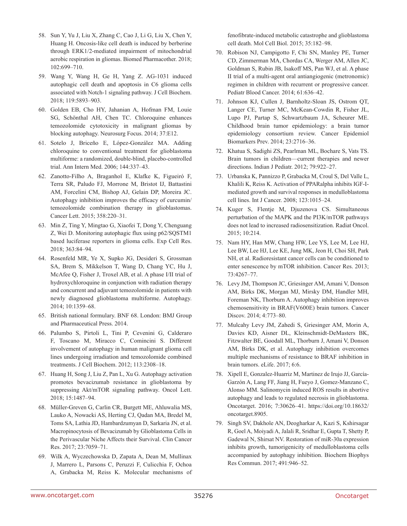- 58. Sun Y, Yu J, Liu X, Zhang C, Cao J, Li G, Liu X, Chen Y, Huang H. Oncosis-like cell death is induced by berberine through ERK1/2-mediated impairment of mitochondrial aerobic respiration in gliomas. Biomed Pharmacother. 2018; 102:699–710.
- 59. Wang Y, Wang H, Ge H, Yang Z. AG-1031 induced autophagic cell death and apoptosis in C6 glioma cells associated with Notch-1 signaling pathway. J Cell Biochem. 2018; 119:5893–903.
- 60. Golden EB, Cho HY, Jahanian A, Hofman FM, Louie SG, Schönthal AH, Chen TC. Chloroquine enhances temozolomide cytotoxicity in malignant gliomas by blocking autophagy. Neurosurg Focus. 2014; 37:E12.
- 61. Sotelo J, Briceño E, López-González MA. Adding chloroquine to conventional treatment for glioblastoma multiforme: a randomized, double-blind, placebo-controlled trial. Ann Intern Med. 2006; 144:337–43.
- 62. Zanotto-Filho A, Braganhol E, Klafke K, Figueiró F, Terra SR, Paludo FJ, Morrone M, Bristot IJ, Battastini AM, Forcelini CM, Bishop AJ, Gelain DP, Moreira JC. Autophagy inhibition improves the efficacy of curcumin/ temozolomide combination therapy in glioblastomas. Cancer Lett. 2015; 358:220–31.
- 63. Min Z, Ting Y, Mingtao G, Xiaofei T, Dong Y, Chenguang Z, Wei D. Monitoring autophagic flux using p62/SQSTM1 based luciferase reporters in glioma cells. Exp Cell Res. 2018; 363:84–94.
- 64. Rosenfeld MR, Ye X, Supko JG, Desideri S, Grossman SA, Brem S, Mikkelson T, Wang D, Chang YC, Hu J, McAfee Q, Fisher J, Troxel AB, et al. A phase I/II trial of hydroxychloroquine in conjunction with radiation therapy and concurrent and adjuvant temozolomide in patients with newly diagnosed glioblastoma multiforme. Autophagy. 2014; 10:1359–68.
- 65. British national formulary. BNF 68. London: BMJ Group and Pharmaceutical Press. 2014.
- 66. Palumbo S, Pirtoli L, Tini P, Cevenini G, Calderaro F, Toscano M, Miracco C, Comincini S. Different involvement of autophagy in human malignant glioma cell lines undergoing irradiation and temozolomide combined treatments. J Cell Biochem. 2012; 113:2308–18.
- 67. Huang H, Song J, Liu Z, Pan L, Xu G. Autophagy activation promotes bevacizumab resistance in glioblastoma by suppressing Akt/mTOR signaling pathway. Oncol Lett. 2018; 15:1487–94.
- 68. Müller-Greven G, Carlin CR, Burgett ME, Ahluwalia MS, Lauko A, Nowacki AS, Herting CJ, Qadan MA, Bredel M, Toms SA, Lathia JD, Hambardzumyan D, Sarkaria JN, et al. Macropinocytosis of Bevacizumab by Glioblastoma Cells in the Perivascular Niche Affects their Survival. Clin Cancer Res. 2017; 23:7059–71.
- 69. Wilk A, Wyczechowska D, Zapata A, Dean M, Mullinax J, Marrero L, Parsons C, Peruzzi F, Culicchia F, Ochoa A, Grabacka M, Reiss K. Molecular mechanisms of

fenofibrate-induced metabolic catastrophe and glioblastoma cell death. Mol Cell Biol. 2015; 35:182–98.

- 70. Robison NJ, Campigotto F, Chi SN, Manley PE, Turner CD, Zimmerman MA, Chordas CA, Werger AM, Allen JC, Goldman S, Rubin JB, Isakoff MS, Pan WJ, et al. A phase II trial of a multi-agent oral antiangiogenic (metronomic) regimen in children with recurrent or progressive cancer. Pediatr Blood Cancer. 2014; 61:636–42.
- 71. Johnson KJ, Cullen J, Barnholtz-Sloan JS, Ostrom QT, Langer CE, Turner MC, McKean-Cowdin R, Fisher JL, Lupo PJ, Partap S, Schwartzbaum JA, Scheurer ME. Childhood brain tumor epidemiology: a brain tumor epidemiology consortium review. Cancer Epidemiol Biomarkers Prev. 2014; 23:2716–36.
- 72. Khatua S, Sadighi ZS, Pearlman ML, Bochare S, Vats TS. Brain tumors in children—current therapies and newer directions. Indian J Pediatr. 2012; 79:922–27.
- 73. Urbanska K, Pannizzo P, Grabacka M, Croul S, Del Valle L, Khalili K, Reiss K. Activation of PPARalpha inhibits IGF-Imediated growth and survival responses in medulloblastoma cell lines. Int J Cancer. 2008; 123:1015–24.
- 74. Kuger S, Flentje M, Djuzenova CS. Simultaneous perturbation of the MAPK and the PI3K/mTOR pathways does not lead to increased radiosensitization. Radiat Oncol. 2015; 10:214.
- 75. Nam HY, Han MW, Chang HW, Lee YS, Lee M, Lee HJ, Lee BW, Lee HJ, Lee KE, Jung MK, Jeon H, Choi SH, Park NH, et al. Radioresistant cancer cells can be conditioned to enter senescence by mTOR inhibition. Cancer Res. 2013; 73:4267–77.
- 76. Levy JM, Thompson JC, Griesinger AM, Amani V, Donson AM, Birks DK, Morgan MJ, Mirsky DM, Handler MH, Foreman NK, Thorburn A. Autophagy inhibition improves chemosensitivity in BRAF(V600E) brain tumors. Cancer Discov. 2014; 4:773–80.
- 77. Mulcahy Levy JM, Zahedi S, Griesinger AM, Morin A, Davies KD, Aisner DL, Kleinschmidt-DeMasters BK, Fitzwalter BE, Goodall ML, Thorburn J, Amani V, Donson AM, Birks DK, et al. Autophagy inhibition overcomes multiple mechanisms of resistance to BRAF inhibition in brain tumors. eLife. 2017; 6:6.
- 78. Xipell E, Gonzalez-Huarriz M, Martinez de Irujo JJ, García-Garzón A, Lang FF, Jiang H, Fueyo J, Gomez-Manzano C, Alonso MM. Salinomycin induced ROS results in abortive autophagy and leads to regulated necrosis in glioblastoma. Oncotarget. 2016; 7:30626–41. [https://doi.org/10.18632/](https://doi.org/10.18632/oncotarget.8905) [oncotarget.8905.](https://doi.org/10.18632/oncotarget.8905)
- 79. Singh SV, Dakhole AN, Deogharkar A, Kazi S, Kshirsagar R, Goel A, Moiyadi A, Jalali R, Sridhar E, Gupta T, Shetty P, Gadewal N, Shirsat NV. Restoration of miR-30a expression inhibits growth, tumorigenicity of medulloblastoma cells accompanied by autophagy inhibition. Biochem Biophys Res Commun. 2017; 491:946–52.